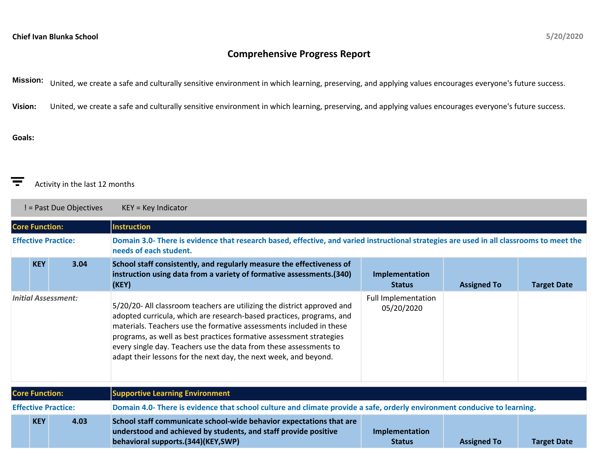## **Comprehensive Progress Report**

**Mission:** United, we create a safe and culturally sensitive environment in which learning, preserving, and applying values encourages everyone's future success.

**Vision:** United, we create a safe and culturally sensitive environment in which learning, preserving, and applying values encourages everyone's future success.

## **Goals:**

## 高 Activity in the last 12 months

! = Past Due Objectives KEY = Key Indicator

| <b>Core Function:</b>      |            |      | <b>Instruction</b>                                                                                                                                                                                                                                                                                                                                                                                                                     |                                   |                    |                    |  |
|----------------------------|------------|------|----------------------------------------------------------------------------------------------------------------------------------------------------------------------------------------------------------------------------------------------------------------------------------------------------------------------------------------------------------------------------------------------------------------------------------------|-----------------------------------|--------------------|--------------------|--|
| <b>Effective Practice:</b> |            |      | Domain 3.0- There is evidence that research based, effective, and varied instructional strategies are used in all classrooms to meet the<br>needs of each student.                                                                                                                                                                                                                                                                     |                                   |                    |                    |  |
|                            | <b>KEY</b> | 3.04 | School staff consistently, and regularly measure the effectiveness of<br>instruction using data from a variety of formative assessments.(340)<br>(KEY)                                                                                                                                                                                                                                                                                 | Implementation<br><b>Status</b>   | <b>Assigned To</b> | <b>Target Date</b> |  |
| <b>Initial Assessment:</b> |            |      | 5/20/20- All classroom teachers are utilizing the district approved and<br>adopted curricula, which are research-based practices, programs, and<br>materials. Teachers use the formative assessments included in these<br>programs, as well as best practices formative assessment strategies<br>every single day. Teachers use the data from these assessments to<br>adapt their lessons for the next day, the next week, and beyond. | Full Implementation<br>05/20/2020 |                    |                    |  |
| <b>Core Function:</b>      |            |      | <b>Supportive Learning Environment</b>                                                                                                                                                                                                                                                                                                                                                                                                 |                                   |                    |                    |  |
| <b>Effective Practice:</b> |            |      | Domain 4.0- There is evidence that school culture and climate provide a safe, orderly environment conducive to learning.                                                                                                                                                                                                                                                                                                               |                                   |                    |                    |  |
|                            | <b>KEY</b> | 4.03 | School staff communicate school-wide behavior expectations that are<br>understood and achieved by students, and staff provide positive<br>behavioral supports.(344)(KEY,SWP)                                                                                                                                                                                                                                                           | Implementation<br><b>Status</b>   | <b>Assigned To</b> | <b>Target Date</b> |  |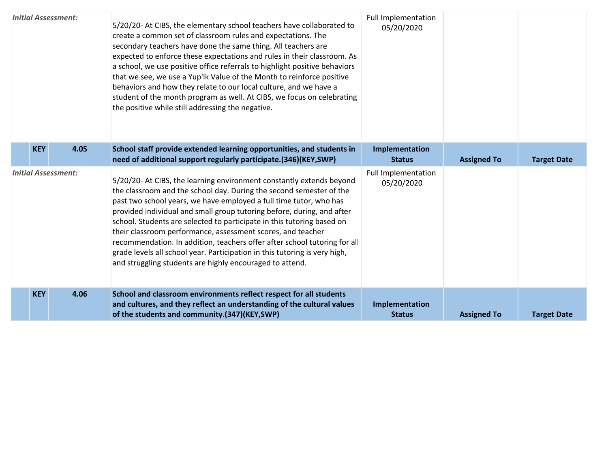| <b>Initial Assessment:</b> |            |      | 5/20/20- At CIBS, the elementary school teachers have collaborated to<br>create a common set of classroom rules and expectations. The<br>secondary teachers have done the same thing. All teachers are<br>expected to enforce these expectations and rules in their classroom. As<br>a school, we use positive office referrals to highlight positive behaviors<br>that we see, we use a Yup'ik Value of the Month to reinforce positive<br>behaviors and how they relate to our local culture, and we have a<br>student of the month program as well. At CIBS, we focus on celebrating<br>the positive while still addressing the negative.                | <b>Full Implementation</b><br>05/20/2020 |                    |                    |
|----------------------------|------------|------|-------------------------------------------------------------------------------------------------------------------------------------------------------------------------------------------------------------------------------------------------------------------------------------------------------------------------------------------------------------------------------------------------------------------------------------------------------------------------------------------------------------------------------------------------------------------------------------------------------------------------------------------------------------|------------------------------------------|--------------------|--------------------|
|                            | <b>KEY</b> | 4.05 | School staff provide extended learning opportunities, and students in<br>need of additional support regularly participate.(346)(KEY,SWP)                                                                                                                                                                                                                                                                                                                                                                                                                                                                                                                    | Implementation<br><b>Status</b>          | <b>Assigned To</b> | <b>Target Date</b> |
| <b>Initial Assessment:</b> |            |      | 5/20/20- At CIBS, the learning environment constantly extends beyond<br>the classroom and the school day. During the second semester of the<br>past two school years, we have employed a full time tutor, who has<br>provided individual and small group tutoring before, during, and after<br>school. Students are selected to participate in this tutoring based on<br>their classroom performance, assessment scores, and teacher<br>recommendation. In addition, teachers offer after school tutoring for all<br>grade levels all school year. Participation in this tutoring is very high,<br>and struggling students are highly encouraged to attend. | <b>Full Implementation</b><br>05/20/2020 |                    |                    |
|                            | <b>KEY</b> | 4.06 | School and classroom environments reflect respect for all students<br>and cultures, and they reflect an understanding of the cultural values<br>of the students and community.(347)(KEY,SWP)                                                                                                                                                                                                                                                                                                                                                                                                                                                                | Implementation<br><b>Status</b>          | <b>Assigned To</b> | <b>Target Date</b> |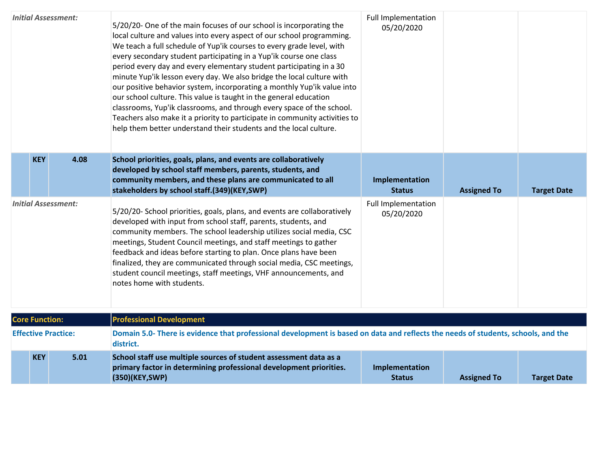| <b>Initial Assessment:</b> |            |      | 5/20/20- One of the main focuses of our school is incorporating the<br>local culture and values into every aspect of our school programming.<br>We teach a full schedule of Yup'ik courses to every grade level, with<br>every secondary student participating in a Yup'ik course one class<br>period every day and every elementary student participating in a 30<br>minute Yup'ik lesson every day. We also bridge the local culture with<br>our positive behavior system, incorporating a monthly Yup'ik value into<br>our school culture. This value is taught in the general education<br>classrooms, Yup'ik classrooms, and through every space of the school.<br>Teachers also make it a priority to participate in community activities to<br>help them better understand their students and the local culture. | <b>Full Implementation</b><br>05/20/2020 |                    |                    |  |
|----------------------------|------------|------|-------------------------------------------------------------------------------------------------------------------------------------------------------------------------------------------------------------------------------------------------------------------------------------------------------------------------------------------------------------------------------------------------------------------------------------------------------------------------------------------------------------------------------------------------------------------------------------------------------------------------------------------------------------------------------------------------------------------------------------------------------------------------------------------------------------------------|------------------------------------------|--------------------|--------------------|--|
|                            | <b>KEY</b> | 4.08 | School priorities, goals, plans, and events are collaboratively<br>developed by school staff members, parents, students, and<br>community members, and these plans are communicated to all<br>stakeholders by school staff.(349)(KEY,SWP)                                                                                                                                                                                                                                                                                                                                                                                                                                                                                                                                                                               | Implementation<br><b>Status</b>          | <b>Assigned To</b> | <b>Target Date</b> |  |
| <b>Initial Assessment:</b> |            |      | 5/20/20- School priorities, goals, plans, and events are collaboratively<br>developed with input from school staff, parents, students, and<br>community members. The school leadership utilizes social media, CSC<br>meetings, Student Council meetings, and staff meetings to gather<br>feedback and ideas before starting to plan. Once plans have been<br>finalized, they are communicated through social media, CSC meetings,<br>student council meetings, staff meetings, VHF announcements, and<br>notes home with students.                                                                                                                                                                                                                                                                                      | <b>Full Implementation</b><br>05/20/2020 |                    |                    |  |
| <b>Core Function:</b>      |            |      | <b>Professional Development</b>                                                                                                                                                                                                                                                                                                                                                                                                                                                                                                                                                                                                                                                                                                                                                                                         |                                          |                    |                    |  |
| <b>Effective Practice:</b> |            |      | Domain 5.0- There is evidence that professional development is based on data and reflects the needs of students, schools, and the<br>district.                                                                                                                                                                                                                                                                                                                                                                                                                                                                                                                                                                                                                                                                          |                                          |                    |                    |  |
|                            | <b>KEY</b> | 5.01 | School staff use multiple sources of student assessment data as a<br>primary factor in determining professional development priorities.<br>(350)(KEY, SWP)                                                                                                                                                                                                                                                                                                                                                                                                                                                                                                                                                                                                                                                              | Implementation<br><b>Status</b>          | <b>Assigned To</b> | <b>Target Date</b> |  |